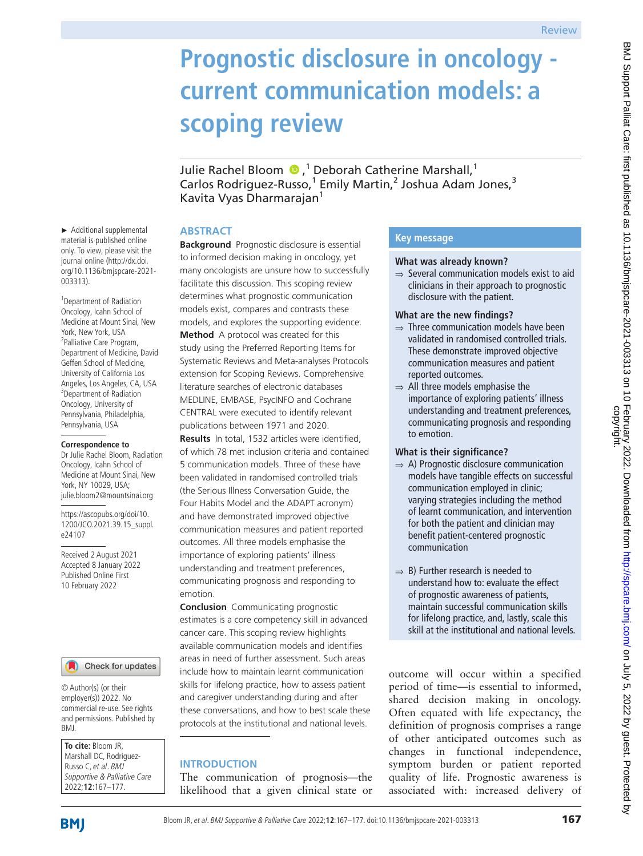# **Prognostic disclosure in oncology current communication models: a scoping review**

Julie Rachel Bloom (D,<sup>1</sup> Deborah Catherine Marshall,<sup>1</sup> Carlos Rodriguez-Russo,<sup>1</sup> Emily Martin,<sup>2</sup> Joshua Adam Jones,<sup>3</sup> Kavita Vyas Dharmarajan<sup>1</sup>

#### **ABSTRACT**

**Background** Prognostic disclosure is essential to informed decision making in oncology, yet many oncologists are unsure how to successfully facilitate this discussion. This scoping review determines what prognostic communication models exist, compares and contrasts these models, and explores the supporting evidence. **Method** A protocol was created for this study using the Preferred Reporting Items for Systematic Reviews and Meta-analyses Protocols extension for Scoping Reviews. Comprehensive literature searches of electronic databases MEDLINE, EMBASE, PsycINFO and Cochrane CENTRAL were executed to identify relevant publications between 1971 and 2020.

**Results** In total, 1532 articles were identified, of which 78 met inclusion criteria and contained 5 communication models. Three of these have been validated in randomised controlled trials (the Serious Illness Conversation Guide, the Four Habits Model and the ADAPT acronym) and have demonstrated improved objective communication measures and patient reported outcomes. All three models emphasise the importance of exploring patients' illness understanding and treatment preferences, communicating prognosis and responding to emotion.

**Conclusion** Communicating prognostic estimates is a core competency skill in advanced cancer care. This scoping review highlights available communication models and identifies areas in need of further assessment. Such areas include how to maintain learnt communication skills for lifelong practice, how to assess patient and caregiver understanding during and after these conversations, and how to best scale these protocols at the institutional and national levels.

## **INTRODUCTION**

The communication of prognosis—the likelihood that a given clinical state or

## **Key message**

## **What was already known?**

⇒ Several communication models exist to aid clinicians in their approach to prognostic disclosure with the patient.

## **What are the new findings?**

- ⇒ Three communication models have been validated in randomised controlled trials. These demonstrate improved objective communication measures and patient reported outcomes.
- $\Rightarrow$  All three models emphasise the importance of exploring patients' illness understanding and treatment preferences, communicating prognosis and responding to emotion.

## **What is their significance?**

- $\Rightarrow$  A) Prognostic disclosure communication models have tangible effects on successful communication employed in clinic; varying strategies including the method of learnt communication, and intervention for both the patient and clinician may benefit patient-centered prognostic communication
- $\Rightarrow$  B) Further research is needed to understand how to: evaluate the effect of prognostic awareness of patients, maintain successful communication skills for lifelong practice, and, lastly, scale this skill at the institutional and national levels.

outcome will occur within a specified period of time—is essential to informed, shared decision making in oncology. Often equated with life expectancy, the definition of prognosis comprises a range of other anticipated outcomes such as changes in functional independence, symptom burden or patient reported quality of life. Prognostic awareness is associated with: increased delivery of

► Additional supplemental material is published online only. To view, please visit the journal online [\(http://dx.doi.](http://dx.doi.org/10.1136/bmjspcare-2021-003313) [org/10.1136/bmjspcare-2021-](http://dx.doi.org/10.1136/bmjspcare-2021-003313) [003313\)](http://dx.doi.org/10.1136/bmjspcare-2021-003313).

1 Department of Radiation Oncology, Icahn School of Medicine at Mount Sinai, New York, New York, USA <sup>2</sup>Palliative Care Program, Department of Medicine, David Geffen School of Medicine, University of California Los Angeles, Los Angeles, CA, USA 3 Department of Radiation Oncology, University of Pennsylvania, Philadelphia, Pennsylvania, USA

#### **Correspondence to**

Dr Julie Rachel Bloom, Radiation Oncology, Icahn School of Medicine at Mount Sinai, New York, NY 10029, USA; julie.bloom2@mountsinai.org

[https://ascopubs.org/doi/10.](https://ascopubs.org/doi/10.1200/JCO.2021.39.15_suppl.e24107) [1200/JCO.2021.39.15\\_suppl.](https://ascopubs.org/doi/10.1200/JCO.2021.39.15_suppl.e24107) [e24107](https://ascopubs.org/doi/10.1200/JCO.2021.39.15_suppl.e24107)

Received 2 August 2021 Accepted 8 January 2022 Published Online First 10 February 2022

Check for updates

© Author(s) (or their employer(s)) 2022. No commercial re-use. See rights and permissions. Published by BMJ.

**To cite:** Bloom JR, Marshall DC, Rodriguez-Russo C, et al. BMJ Supportive & Palliative Care 2022;**12**:167–177.

ਤੁ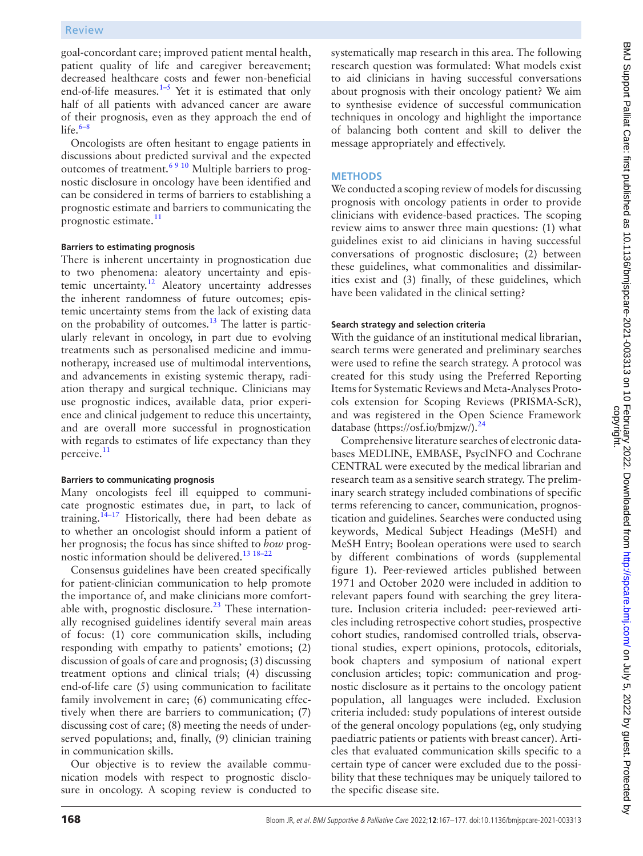goal-concordant care; improved patient mental health, patient quality of life and caregiver bereavement; decreased healthcare costs and fewer non-beneficial end-of-life measures. $1-5$  Yet it is estimated that only half of all patients with advanced cancer are aware of their prognosis, even as they approach the end of life. $6-8$ 

Oncologists are often hesitant to engage patients in discussions about predicted survival and the expected outcomes of treatment.<sup>6 9 10</sup> Multiple barriers to prognostic disclosure in oncology have been identified and can be considered in terms of barriers to establishing a prognostic estimate and barriers to communicating the prognostic estimate.<sup>[11](#page-8-2)</sup>

## **Barriers to estimating prognosis**

There is inherent uncertainty in prognostication due to two phenomena: aleatory uncertainty and epistemic uncertainty.[12](#page-8-3) Aleatory uncertainty addresses the inherent randomness of future outcomes; epistemic uncertainty stems from the lack of existing data on the probability of outcomes.<sup>[13](#page-8-4)</sup> The latter is particularly relevant in oncology, in part due to evolving treatments such as personalised medicine and immunotherapy, increased use of multimodal interventions, and advancements in existing systemic therapy, radiation therapy and surgical technique. Clinicians may use prognostic indices, available data, prior experience and clinical judgement to reduce this uncertainty, and are overall more successful in prognostication with regards to estimates of life expectancy than they perceive.[11](#page-8-2)

## **Barriers to communicating prognosis**

Many oncologists feel ill equipped to communicate prognostic estimates due, in part, to lack of training.<sup>14–17</sup> Historically, there had been debate as to whether an oncologist should inform a patient of her prognosis; the focus has since shifted to *how* prognostic information should be delivered.[13 18–22](#page-8-4)

Consensus guidelines have been created specifically for patient-clinician communication to help promote the importance of, and make clinicians more comfortable with, prognostic disclosure. $^{23}$  These internationally recognised guidelines identify several main areas of focus: (1) core communication skills, including responding with empathy to patients' emotions; (2) discussion of goals of care and prognosis; (3) discussing treatment options and clinical trials; (4) discussing end-of-life care (5) using communication to facilitate family involvement in care; (6) communicating effectively when there are barriers to communication; (7) discussing cost of care; (8) meeting the needs of underserved populations; and, finally, (9) clinician training in communication skills.

Our objective is to review the available communication models with respect to prognostic disclosure in oncology. A scoping review is conducted to

systematically map research in this area. The following research question was formulated: What models exist to aid clinicians in having successful conversations about prognosis with their oncology patient? We aim to synthesise evidence of successful communication techniques in oncology and highlight the importance of balancing both content and skill to deliver the message appropriately and effectively.

## **METHODS**

We conducted a scoping review of models for discussing prognosis with oncology patients in order to provide clinicians with evidence-based practices. The scoping review aims to answer three main questions: (1) what guidelines exist to aid clinicians in having successful conversations of prognostic disclosure; (2) between these guidelines, what commonalities and dissimilarities exist and (3) finally, of these guidelines, which have been validated in the clinical setting?

## **Search strategy and selection criteria**

With the guidance of an institutional medical librarian, search terms were generated and preliminary searches were used to refine the search strategy. A protocol was created for this study using the Preferred Reporting Items for Systematic Reviews and Meta-Analyses Protocols extension for Scoping Reviews (PRISMA-ScR), and was registered in the Open Science Framework database [\(https://osf.io/bmjzw/\)](https://osf.io/bmjzw/).<sup>[24](#page-9-1)</sup>

Comprehensive literature searches of electronic databases MEDLINE, EMBASE, PsycINFO and Cochrane CENTRAL were executed by the medical librarian and research team as a sensitive search strategy. The preliminary search strategy included combinations of specific terms referencing to cancer, communication, prognostication and guidelines. Searches were conducted using keywords, Medical Subject Headings (MeSH) and MeSH Entry; Boolean operations were used to search by different combinations of words ([supplemental](https://dx.doi.org/10.1136/bmjspcare-2021-003313)  [figure 1](https://dx.doi.org/10.1136/bmjspcare-2021-003313)). Peer-reviewed articles published between 1971 and October 2020 were included in addition to relevant papers found with searching the grey literature. Inclusion criteria included: peer-reviewed articles including retrospective cohort studies, prospective cohort studies, randomised controlled trials, observational studies, expert opinions, protocols, editorials, book chapters and symposium of national expert conclusion articles; topic: communication and prognostic disclosure as it pertains to the oncology patient population, all languages were included. Exclusion criteria included: study populations of interest outside of the general oncology populations (eg, only studying paediatric patients or patients with breast cancer). Articles that evaluated communication skills specific to a certain type of cancer were excluded due to the possibility that these techniques may be uniquely tailored to the specific disease site.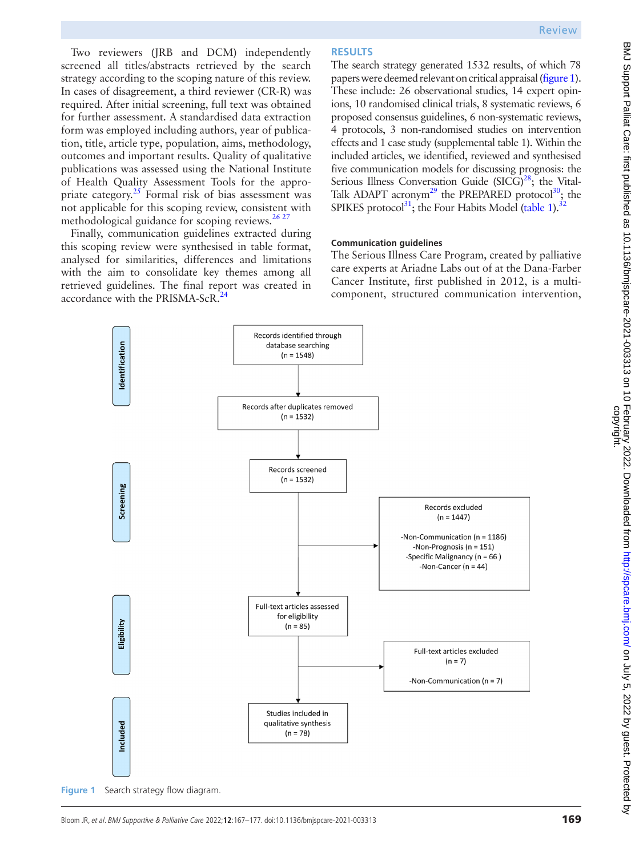Two reviewers (JRB and DCM) independently screened all titles/abstracts retrieved by the search strategy according to the scoping nature of this review. In cases of disagreement, a third reviewer (CR-R) was required. After initial screening, full text was obtained for further assessment. A standardised data extraction form was employed including authors, year of publication, title, article type, population, aims, methodology, outcomes and important results. Quality of qualitative publications was assessed using the National Institute of Health Quality Assessment Tools for the appropriate category. $25$  Formal risk of bias assessment was not applicable for this scoping review, consistent with methodological guidance for scoping reviews.<sup>26 27</sup>

Finally, communication guidelines extracted during this scoping review were synthesised in table format, analysed for similarities, differences and limitations with the aim to consolidate key themes among all retrieved guidelines. The final report was created in accordance with the PRISMA-ScR.<sup>[24](#page-9-1)</sup>

#### **RESULTS**

The search strategy generated 1532 results, of which 78 papers were deemed relevant on critical appraisal [\(figure1\)](#page-2-0). These include: 26 observational studies, 14 expert opinions, 10 randomised clinical trials, 8 systematic reviews, 6 proposed consensus guidelines, 6 non-systematic reviews, 4 protocols, 3 non-randomised studies on intervention effects and 1 case study [\(supplemental table 1\)](https://dx.doi.org/10.1136/bmjspcare-2021-003313). Within the included articles, we identified, reviewed and synthesised five communication models for discussing prognosis: the Serious Illness Conversation Guide  $(SICG)^{28}$ ; the Vital-Talk ADAPT acronym<sup>29</sup> the PREPARED protocol<sup>30</sup>; the SPIKES protocol<sup>31</sup>; the Four Habits Model [\(table](#page-3-0) 1).<sup>32</sup>

#### **Communication guidelines**

The Serious Illness Care Program, created by palliative care experts at Ariadne Labs out of at the Dana-Farber Cancer Institute, first published in 2012, is a multicomponent, structured communication intervention,

<span id="page-2-0"></span>

BMJ Support Palliat Care: first published as 10.1136/bmjspcare-2021-003313 on 10 February 2022. Downloaded from http://spcare.bmj.com/ on July 5, 2022 by guest. Protected<br>copyright. BMJ Support Palliat Care: first published as 10.1136/bmjspcare-2021-003313 on 10 February 2022. Downloaded from Http://spcare.bmj.com/ on July 5, 2022 by guest. Protected by ੍ਰ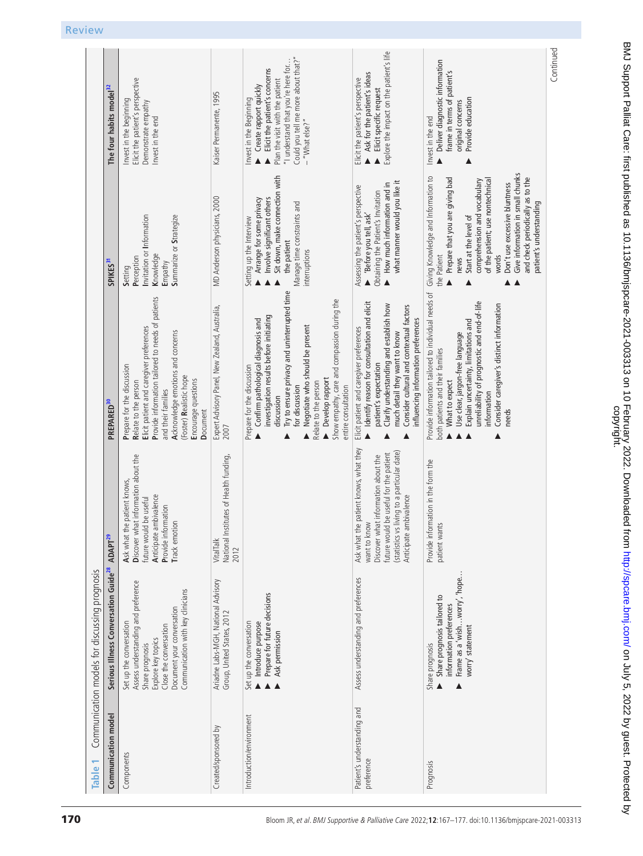<span id="page-3-0"></span>

| <b>Table</b>                              | Communication models for discussing prognosis                                                                                                                                                        |                                                                                                                                                                                                                       |                                                                                                                                                                                                                                                                                                                                                                             |                                                                                                                                                                                                                                                                                                                                                             |                                                                                                                                                                                                                      |
|-------------------------------------------|------------------------------------------------------------------------------------------------------------------------------------------------------------------------------------------------------|-----------------------------------------------------------------------------------------------------------------------------------------------------------------------------------------------------------------------|-----------------------------------------------------------------------------------------------------------------------------------------------------------------------------------------------------------------------------------------------------------------------------------------------------------------------------------------------------------------------------|-------------------------------------------------------------------------------------------------------------------------------------------------------------------------------------------------------------------------------------------------------------------------------------------------------------------------------------------------------------|----------------------------------------------------------------------------------------------------------------------------------------------------------------------------------------------------------------------|
| Communication model                       | Serious Illness Conversation Guide <sup>28</sup>                                                                                                                                                     | ADAPT <sup>29</sup>                                                                                                                                                                                                   | PREPARED <sup>30</sup>                                                                                                                                                                                                                                                                                                                                                      | SPIKES <sup>31</sup>                                                                                                                                                                                                                                                                                                                                        | The four habits model <sup>32</sup>                                                                                                                                                                                  |
| Components                                | Assess understanding and preference<br>Communication with key clinicians<br>Document your conversation<br>Set up the conversation<br>Close the conversation<br>Explore key topics<br>Share prognosis | Discover what information about the<br>patient knows,<br>Anticipate ambivalence<br>future would be useful<br>Provide information<br>Track emotion<br>Ask what the                                                     | Provide information tailored to needs of patients<br>Elicit patient and caregiver preferences<br>Acknowledge emotions and concerns<br>Prepare for the discussion<br>(Foster) Realistic hope<br>Encourage questions<br>Relate to the person<br>and their families<br>Document                                                                                                | Invitation or Information<br>Summarize or Strategize<br>Knowledge<br>Perception<br>Empathy<br>Setting                                                                                                                                                                                                                                                       | Elicit the patient's perspective<br>nvest in the beginning<br>Demonstrate empathy<br>Invest in the end                                                                                                               |
| Created/sponsored by                      | Ariadne Labs-MGH, National Advisory<br>Group, United States, 2012                                                                                                                                    | National Institutes of Health funding,<br>VitalTalk<br>2012                                                                                                                                                           | Expert Advisory Panel, New Zealand, Australia,<br>2007                                                                                                                                                                                                                                                                                                                      | MD Anderson physicians, 2000                                                                                                                                                                                                                                                                                                                                | Kaiser Permanente, 1995                                                                                                                                                                                              |
| Introduction/environment                  | Prepare for future decisions<br>Set up the conversation<br>Introduce purpose<br>Ask permission<br>$\blacktriangle$                                                                                   |                                                                                                                                                                                                                       | Try to ensure privacy and uninterrupted time<br>Show empathy, care and compassion during the<br>investigation results before initiating<br>Confirm pathological diagnosis and<br>Negotiate who should be present<br>Prepare for the discussion<br><b>Develop rapport</b><br>Relate to the person<br>for discussion<br>entire consultation<br>discussion<br>$\blacktriangle$ | Sit down, make connection with<br>Involve significant others<br>Arrange for some privacy<br>Manage time constraints and<br>Setting up the Interview<br>the patient<br>interruptions                                                                                                                                                                         | Could you tell me more about that?"<br>"I understand that you're here for<br>Elicit the patient's concerns<br>Plan the visit with the patient<br>Create rapport quickly<br>Invest in the Beginning<br>- "What else?" |
| Patient's understanding and<br>preference | Assess understanding and preferences                                                                                                                                                                 | patient knows, what they<br>(statistics vs living to a particular date)<br>future would be useful for the patient<br>information about the<br>Anticipate ambivalence<br>want to know<br>Discover what<br>Ask what the | Identify reason for consultation and elicit<br>Clarify understanding and establish how<br>Consider cultural and contextual factors<br>influencing information preferences<br>Elicit patient and caregiver preferences<br>much detail they want to know<br>patient's expectation<br>$\blacktriangle$                                                                         | what manner would you like it<br>How much information and in<br>Assessing the patient's perspective<br>Obtaining the Patient's Invitation<br>'Before you tell, ask'<br>$\blacktriangle$<br>$\blacktriangle$                                                                                                                                                 | Explore the impact on the patient's life<br>Ask for the patient's ideas<br>Elicit the patient's perspective<br>Elicit specific request                                                                               |
| Prognosis                                 | Frame as a 'wishworry', 'hope.<br>Share prognosis tailored to<br>information preferences<br>worry' statement<br>Share prognosis                                                                      | Provide information in the form the<br>patient wants                                                                                                                                                                  | Provide information tailored to individual needs of<br>unreliability of prognostic and end-of-life<br>Consider caregiver's distinct information<br>Explain uncertainty, limitations and<br>Use clear, jargon-free language<br>both patients and their families<br>What to expect<br>information<br>needs                                                                    | Give information in small chunks<br>Giving Knowledge and Information to<br>and check periodically as to the<br>Prepare that you are giving bad<br>of the patient; use nontechnical<br>comprehension and vocabulary<br>Don't use excessive bluntness<br>patient's understanding<br>Start at the level of<br>the Patient<br>words<br>news<br>$\blacktriangle$ | Deliver diagnostic information<br>frame in terms of patient's<br>Provide education<br>original concerns<br>Invest in the end                                                                                         |
|                                           |                                                                                                                                                                                                      |                                                                                                                                                                                                                       |                                                                                                                                                                                                                                                                                                                                                                             |                                                                                                                                                                                                                                                                                                                                                             | Continued                                                                                                                                                                                                            |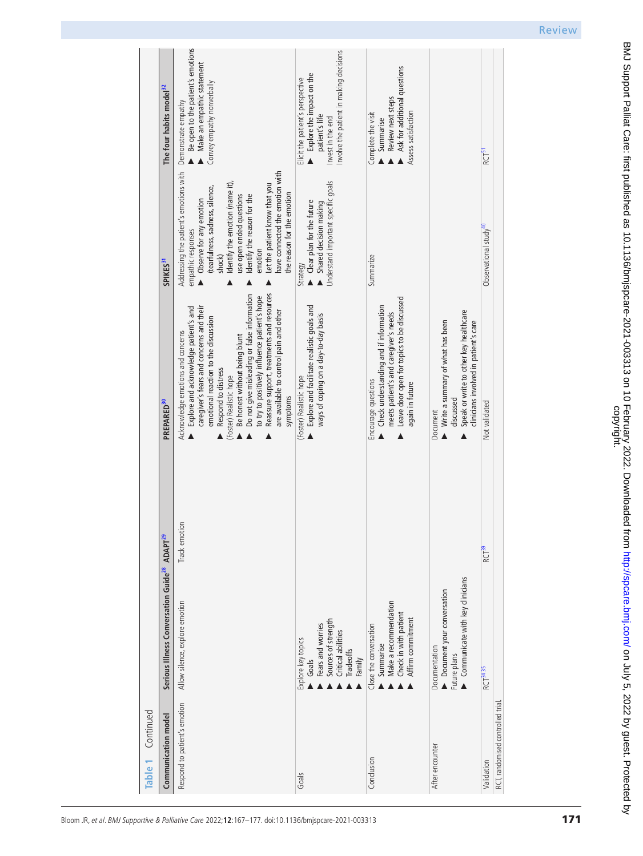| Continued<br>Table <sup>-</sup>                |                                                                                                                             |                             |                                                                                                                                                                                                                                                                                                                                                                                                                                                                                                     |                                                                                                                                                                                                                                                                                                                                                 |                                                                                                                                                 |
|------------------------------------------------|-----------------------------------------------------------------------------------------------------------------------------|-----------------------------|-----------------------------------------------------------------------------------------------------------------------------------------------------------------------------------------------------------------------------------------------------------------------------------------------------------------------------------------------------------------------------------------------------------------------------------------------------------------------------------------------------|-------------------------------------------------------------------------------------------------------------------------------------------------------------------------------------------------------------------------------------------------------------------------------------------------------------------------------------------------|-------------------------------------------------------------------------------------------------------------------------------------------------|
| Communication model                            | Serious Illness Conversation Guide <sup>28</sup> ADAPT <sup>29</sup>                                                        |                             | PREPARED <sup>30</sup>                                                                                                                                                                                                                                                                                                                                                                                                                                                                              | SPIKES <sup>31</sup>                                                                                                                                                                                                                                                                                                                            | The four habits model <sup>32</sup>                                                                                                             |
| Respond to patient's emotion                   | Allow silence, explore emotion                                                                                              | $\subseteq$<br>Track emotio | Reassure support, treatments and resources<br>Do not give misleading or false information<br>to try to positively influence patient's hope<br>Explore and acknowledge patient's and<br>caregiver's fears and concerns and their<br>are available to control pain and other<br>emotional reaction to the discussion<br>Acknowledge emotions and concerns<br>Be honest without being blunt<br>Respond to distress<br>(Foster) Realistic hope<br>symptoms<br>$\blacktriangle$<br>$\blacktriangle$<br>▲ | Addressing the patient's emotions with<br>have connected the emotion with<br>Identify the emotion (name it),<br>Let the patient know that you<br>(tearfulness, sadness, silence,<br>the reason for the emotion<br>use open ended questions<br>Identify the reason for the<br>Observe for any emotion<br>empathic responses<br>emotion<br>shock) | Be open to the patient's emotions<br>Make an empathic statement<br>Convey empathy nonverbally<br>Demonstrate empathy                            |
| Goals                                          | Sources of strength<br>Fears and worries<br>Critical abilities<br>Explore key topics<br><b>Tradeoffs</b><br>Family<br>Goals |                             | Explore and facilitate realistic goals and<br>ways of coping on a day-to-day basis<br>(Foster) Realistic hope                                                                                                                                                                                                                                                                                                                                                                                       | Understand important specific goals<br>• Clear plan for the future<br>Shared decision making<br>Strategy                                                                                                                                                                                                                                        | Involve the patient in making decisions<br>Explore the impact on the<br>Elicit the patient's perspective<br>patient's life<br>Invest in the end |
| Conclusion                                     | Make a recommendation<br>Check in with patient<br>Affirm commitment<br>Close the conversation<br>Summarise                  |                             | Leave door open for topics to be discussed<br>Check understanding and if information<br>meets patient's and caregiver's needs<br>Encourage questions<br>again in future<br>$\blacktriangle$                                                                                                                                                                                                                                                                                                         | Summarize                                                                                                                                                                                                                                                                                                                                       | Ask for additional questions<br>Review next steps<br>Assess satisfaction<br>Complete the visit<br>Summarise                                     |
| After encounter                                | Communicate with key clinicians<br>Document your conversation<br>Documentation<br>Future plans                              |                             | Speak or write to other key healthcare<br>Write a summary of what has been<br>clinicians involved in patient's care<br>discussed<br>Document<br>$\blacktriangle$                                                                                                                                                                                                                                                                                                                                    |                                                                                                                                                                                                                                                                                                                                                 |                                                                                                                                                 |
| RCT, randomised controlled trial<br>Validation | RCT <sup>3435</sup>                                                                                                         | RCT <sup>39</sup>           | Not validated                                                                                                                                                                                                                                                                                                                                                                                                                                                                                       | Observational study <sup>40</sup>                                                                                                                                                                                                                                                                                                               | RCT <sup>51</sup>                                                                                                                               |
|                                                |                                                                                                                             |                             |                                                                                                                                                                                                                                                                                                                                                                                                                                                                                                     |                                                                                                                                                                                                                                                                                                                                                 |                                                                                                                                                 |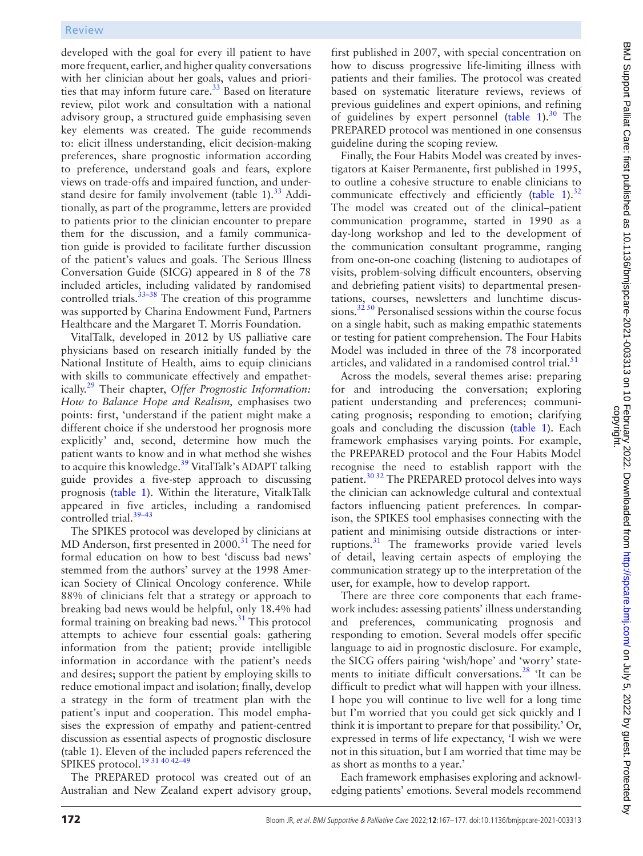developed with the goal for every ill patient to have more frequent, earlier, and higher quality conversations with her clinician about her goals, values and priorities that may inform future care. $33$  Based on literature review, pilot work and consultation with a national advisory group, a structured guide emphasising seven key elements was created. The guide recommends to: elicit illness understanding, elicit decision-making preferences, share prognostic information according to preference, understand goals and fears, explore views on trade-offs and impaired function, and understand desire for family involvement (table  $1$ ).<sup>[33](#page-9-13)</sup> Additionally, as part of the programme, letters are provided to patients prior to the clinician encounter to prepare them for the discussion, and a family communication guide is provided to facilitate further discussion of the patient's values and goals. The Serious Illness Conversation Guide (SICG) appeared in 8 of the 78 included articles, including validated by randomised controlled trials.<sup>33–38</sup> The creation of this programme was supported by Charina Endowment Fund, Partners Healthcare and the Margaret T. Morris Foundation.

VitalTalk, developed in 2012 by US palliative care physicians based on research initially funded by the National Institute of Health, aims to equip clinicians with skills to communicate effectively and empathetically[.29](#page-9-5) Their chapter, *Offer Prognostic Information: How to Balance Hope and Realism,* emphasises two points: first, 'understand if the patient might make a different choice if she understood her prognosis more explicitly' and, second, determine how much the patient wants to know and in what method she wishes to acquire this knowledge.<sup>39</sup> VitalTalk's ADAPT talking guide provides a five-step approach to discussing prognosis [\(table](#page-3-0) 1). Within the literature, VitalkTalk appeared in five articles, including a randomised controlled trial.<sup>39-43</sup>

The SPIKES protocol was developed by clinicians at  $MD$  Anderson, first presented in  $2000<sup>31</sup>$  $2000<sup>31</sup>$  $2000<sup>31</sup>$  The need for formal education on how to best 'discuss bad news' stemmed from the authors' survey at the 1998 American Society of Clinical Oncology conference. While 88% of clinicians felt that a strategy or approach to breaking bad news would be helpful, only 18.4% had formal training on breaking bad news.<sup>31</sup> This protocol attempts to achieve four essential goals: gathering information from the patient; provide intelligible information in accordance with the patient's needs and desires; support the patient by employing skills to reduce emotional impact and isolation; finally, develop a strategy in the form of treatment plan with the patient's input and cooperation. This model emphasises the expression of empathy and patient-centred discussion as essential aspects of prognostic disclosure (table 1). Eleven of the included papers referenced the SPIKES protocol.<sup>[19 31 40 42–49](#page-8-6)</sup>

The PREPARED protocol was created out of an Australian and New Zealand expert advisory group,

first published in 2007, with special concentration on how to discuss progressive life-limiting illness with patients and their families. The protocol was created based on systematic literature reviews, reviews of previous guidelines and expert opinions, and refining of guidelines by expert personnel ([table](#page-3-0) 1). $30$  The PREPARED protocol was mentioned in one consensus guideline during the scoping review.

Finally, the Four Habits Model was created by investigators at Kaiser Permanente, first published in 1995, to outline a cohesive structure to enable clinicians to communicate effectively and efficiently [\(table](#page-3-0) 1). $32$ The model was created out of the clinical–patient communication programme, started in 1990 as a day-long workshop and led to the development of the communication consultant programme, ranging from one-on-one coaching (listening to audiotapes of visits, problem-solving difficult encounters, observing and debriefing patient visits) to departmental presentations, courses, newsletters and lunchtime discus-sions.<sup>[32 50](#page-9-8)</sup> Personalised sessions within the course focus on a single habit, such as making empathic statements or testing for patient comprehension. The Four Habits Model was included in three of the 78 incorporated articles, and validated in a randomised control trial.<sup>51</sup>

Across the models, several themes arise: preparing for and introducing the conversation; exploring patient understanding and preferences; communicating prognosis; responding to emotion; clarifying goals and concluding the discussion ([table](#page-3-0) 1). Each framework emphasises varying points. For example, the PREPARED protocol and the Four Habits Model recognise the need to establish rapport with the patient.<sup>30 32</sup> The PREPARED protocol delves into ways the clinician can acknowledge cultural and contextual factors influencing patient preferences. In comparison, the SPIKES tool emphasises connecting with the patient and minimising outside distractions or interruptions[.31](#page-9-7) The frameworks provide varied levels of detail, leaving certain aspects of employing the communication strategy up to the interpretation of the user, for example, how to develop rapport.

There are three core components that each framework includes: assessing patients' illness understanding and preferences, communicating prognosis and responding to emotion. Several models offer specific language to aid in prognostic disclosure. For example, the SICG offers pairing 'wish/hope' and 'worry' state-ments to initiate difficult conversations.<sup>[28](#page-9-4)</sup> 'It can be difficult to predict what will happen with your illness. I hope you will continue to live well for a long time but I'm worried that you could get sick quickly and I think it is important to prepare for that possibility.' Or, expressed in terms of life expectancy, 'I wish we were not in this situation, but I am worried that time may be as short as months to a year.'

Each framework emphasises exploring and acknowledging patients' emotions. Several models recommend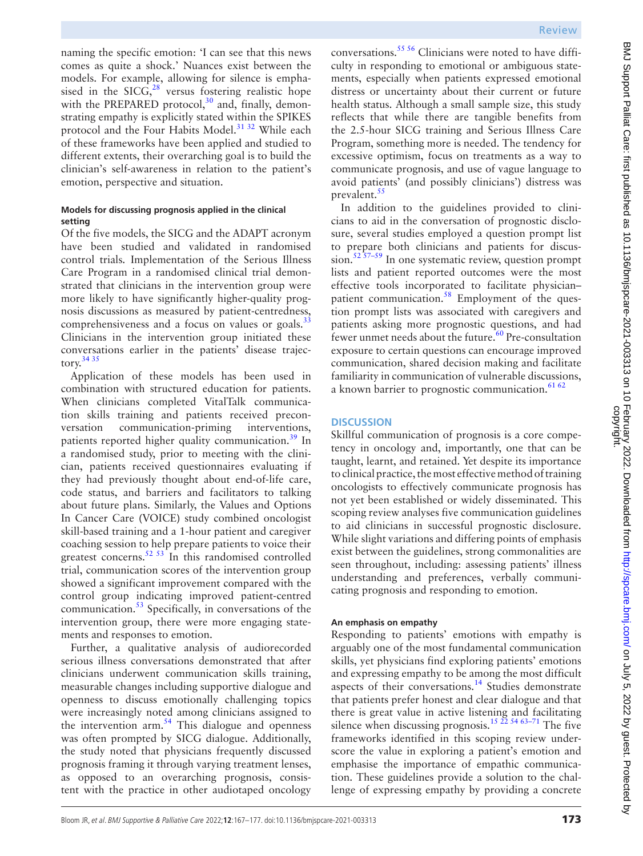naming the specific emotion: 'I can see that this news comes as quite a shock.' Nuances exist between the models. For example, allowing for silence is emphasised in the  $SICG<sub>2</sub><sup>28'</sup>$  $SICG<sub>2</sub><sup>28'</sup>$  $SICG<sub>2</sub><sup>28'</sup>$  versus fostering realistic hope with the PREPARED protocol, $30$  and, finally, demonstrating empathy is explicitly stated within the SPIKES protocol and the Four Habits Model.<sup>31 32</sup> While each of these frameworks have been applied and studied to different extents, their overarching goal is to build the clinician's self-awareness in relation to the patient's emotion, perspective and situation.

#### **Models for discussing prognosis applied in the clinical setting**

Of the five models, the SICG and the ADAPT acronym have been studied and validated in randomised control trials. Implementation of the Serious Illness Care Program in a randomised clinical trial demonstrated that clinicians in the intervention group were more likely to have significantly higher-quality prognosis discussions as measured by patient-centredness, comprehensiveness and a focus on values or goals.<sup>33</sup> Clinicians in the intervention group initiated these conversations earlier in the patients' disease trajectory. $3435$ 

Application of these models has been used in combination with structured education for patients. When clinicians completed VitalTalk communication skills training and patients received preconversation communication-priming interventions, patients reported higher quality communication.<sup>39</sup> In a randomised study, prior to meeting with the clinician, patients received questionnaires evaluating if they had previously thought about end-of-life care, code status, and barriers and facilitators to talking about future plans. Similarly, the Values and Options In Cancer Care (VOICE) study combined oncologist skill-based training and a 1-hour patient and caregiver coaching session to help prepare patients to voice their greatest concerns.<sup>[52 53](#page-9-14)</sup> In this randomised controlled trial, communication scores of the intervention group showed a significant improvement compared with the control group indicating improved patient-centred communication.[53](#page-9-15) Specifically, in conversations of the intervention group, there were more engaging statements and responses to emotion.

Further, a qualitative analysis of audiorecorded serious illness conversations demonstrated that after clinicians underwent communication skills training, measurable changes including supportive dialogue and openness to discuss emotionally challenging topics were increasingly noted among clinicians assigned to the intervention  $arm.^{54}$  $arm.^{54}$  $arm.^{54}$  This dialogue and openness was often prompted by SICG dialogue. Additionally, the study noted that physicians frequently discussed prognosis framing it through varying treatment lenses, as opposed to an overarching prognosis, consistent with the practice in other audiotaped oncology

conversations.[55 56](#page-9-17) Clinicians were noted to have difficulty in responding to emotional or ambiguous statements, especially when patients expressed emotional distress or uncertainty about their current or future health status. Although a small sample size, this study reflects that while there are tangible benefits from the 2.5-hour SICG training and Serious Illness Care Program, something more is needed. The tendency for excessive optimism, focus on treatments as a way to communicate prognosis, and use of vague language to avoid patients' (and possibly clinicians') distress was prevalent.<sup>[55](#page-9-17)</sup>

In addition to the guidelines provided to clinicians to aid in the conversation of prognostic disclosure, several studies employed a question prompt list to prepare both clinicians and patients for discussion. $52\frac{57-59}{ }$  In one systematic review, question prompt lists and patient reported outcomes were the most effective tools incorporated to facilitate physician– patient communication.<sup>58</sup> Employment of the question prompt lists was associated with caregivers and patients asking more prognostic questions, and had fewer unmet needs about the future.<sup>60</sup> Pre-consultation exposure to certain questions can encourage improved communication, shared decision making and facilitate familiarity in communication of vulnerable discussions, a known barrier to prognostic communication.<sup>[61 62](#page-9-20)</sup>

## **DISCUSSION**

Skillful communication of prognosis is a core competency in oncology and, importantly, one that can be taught, learnt, and retained. Yet despite its importance to clinical practice, the most effective method of training oncologists to effectively communicate prognosis has not yet been established or widely disseminated. This scoping review analyses five communication guidelines to aid clinicians in successful prognostic disclosure. While slight variations and differing points of emphasis exist between the guidelines, strong commonalities are seen throughout, including: assessing patients' illness understanding and preferences, verbally communicating prognosis and responding to emotion.

#### **An emphasis on empathy**

Responding to patients' emotions with empathy is arguably one of the most fundamental communication skills, yet physicians find exploring patients' emotions and expressing empathy to be among the most difficult aspects of their conversations.<sup>14</sup> Studies demonstrate that patients prefer honest and clear dialogue and that there is great value in active listening and facilitating silence when discussing prognosis.<sup>15 22 54 63-71</sup> The five frameworks identified in this scoping review underscore the value in exploring a patient's emotion and emphasise the importance of empathic communication. These guidelines provide a solution to the challenge of expressing empathy by providing a concrete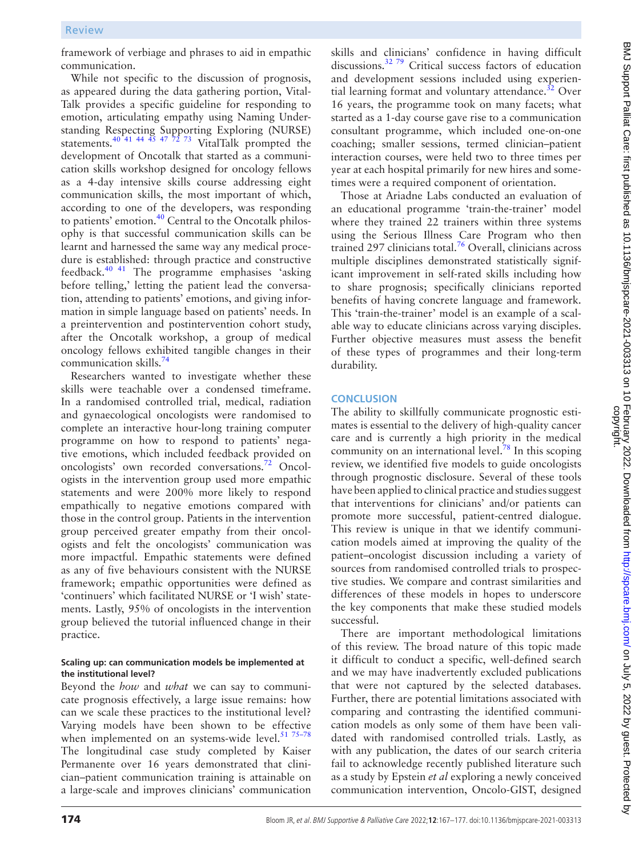framework of verbiage and phrases to aid in empathic communication.

While not specific to the discussion of prognosis, as appeared during the data gathering portion, Vital-Talk provides a specific guideline for responding to emotion, articulating empathy using Naming Understanding Respecting Supporting Exploring (NURSE) statements.<sup>40 41 44 45 47 72 73</sup> VitalTalk prompted the development of Oncotalk that started as a communication skills workshop designed for oncology fellows as a 4-day intensive skills course addressing eight communication skills, the most important of which, according to one of the developers, was responding to patients' emotion.<sup>[40](#page-9-11)</sup> Central to the Oncotalk philosophy is that successful communication skills can be learnt and harnessed the same way any medical procedure is established: through practice and constructive feedback[.40 41](#page-9-11) The programme emphasises 'asking before telling,' letting the patient lead the conversation, attending to patients' emotions, and giving information in simple language based on patients' needs. In a preintervention and postintervention cohort study, after the Oncotalk workshop, a group of medical oncology fellows exhibited tangible changes in their communication skills.[74](#page-10-0)

Researchers wanted to investigate whether these skills were teachable over a condensed timeframe. In a randomised controlled trial, medical, radiation and gynaecological oncologists were randomised to complete an interactive hour-long training computer programme on how to respond to patients' negative emotions, which included feedback provided on oncologists' own recorded conversations.[72](#page-10-1) Oncologists in the intervention group used more empathic statements and were 200% more likely to respond empathically to negative emotions compared with those in the control group. Patients in the intervention group perceived greater empathy from their oncologists and felt the oncologists' communication was more impactful. Empathic statements were defined as any of five behaviours consistent with the NURSE framework; empathic opportunities were defined as 'continuers' which facilitated NURSE or 'I wish' statements. Lastly, 95% of oncologists in the intervention group believed the tutorial influenced change in their practice.

#### **Scaling up: can communication models be implemented at the institutional level?**

Beyond the *how* and *what* we can say to communicate prognosis effectively, a large issue remains: how can we scale these practices to the institutional level? Varying models have been shown to be effective when implemented on an systems-wide level. $5175-78$ The longitudinal case study completed by Kaiser Permanente over 16 years demonstrated that clinician–patient communication training is attainable on a large-scale and improves clinicians' communication

skills and clinicians' confidence in having difficult discussions. $32\frac{79}{7}$  Critical success factors of education and development sessions included using experiential learning format and voluntary attendance. $32$  Over 16 years, the programme took on many facets; what started as a 1-day course gave rise to a communication consultant programme, which included one-on-one coaching; smaller sessions, termed clinician–patient interaction courses, were held two to three times per year at each hospital primarily for new hires and sometimes were a required component of orientation.

Those at Ariadne Labs conducted an evaluation of an educational programme 'train-the-trainer' model where they trained 22 trainers within three systems using the Serious Illness Care Program who then trained 297 clinicians total. $76$  Overall, clinicians across multiple disciplines demonstrated statistically significant improvement in self-rated skills including how to share prognosis; specifically clinicians reported benefits of having concrete language and framework. This 'train-the-trainer' model is an example of a scalable way to educate clinicians across varying disciples. Further objective measures must assess the benefit of these types of programmes and their long-term durability.

## **CONCLUSION**

The ability to skillfully communicate prognostic estimates is essential to the delivery of high-quality cancer care and is currently a high priority in the medical community on an international level. $^{78}$  $^{78}$  $^{78}$  In this scoping review, we identified five models to guide oncologists through prognostic disclosure. Several of these tools have been applied to clinical practice and studies suggest that interventions for clinicians' and/or patients can promote more successful, patient-centred dialogue. This review is unique in that we identify communication models aimed at improving the quality of the patient–oncologist discussion including a variety of sources from randomised controlled trials to prospective studies. We compare and contrast similarities and differences of these models in hopes to underscore the key components that make these studied models successful.

There are important methodological limitations of this review. The broad nature of this topic made it difficult to conduct a specific, well-defined search and we may have inadvertently excluded publications that were not captured by the selected databases. Further, there are potential limitations associated with comparing and contrasting the identified communication models as only some of them have been validated with randomised controlled trials. Lastly, as with any publication, the dates of our search criteria fail to acknowledge recently published literature such as a study by Epstein *et al* exploring a newly conceived communication intervention, Oncolo-GIST, designed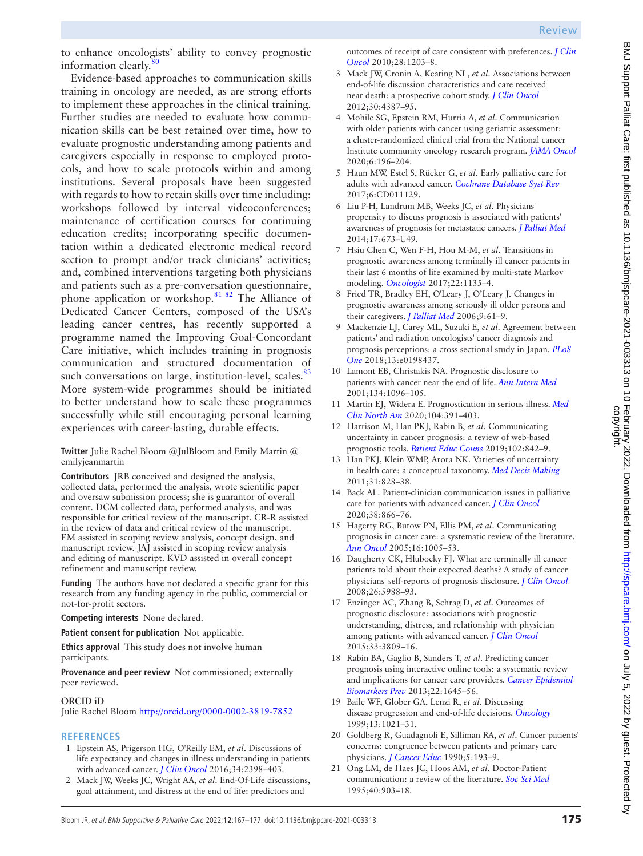Evidence-based approaches to communication skills training in oncology are needed, as are strong efforts to implement these approaches in the clinical training. Further studies are needed to evaluate how communication skills can be best retained over time, how to evaluate prognostic understanding among patients and caregivers especially in response to employed protocols, and how to scale protocols within and among institutions. Several proposals have been suggested with regards to how to retain skills over time including: workshops followed by interval videoconferences; maintenance of certification courses for continuing education credits; incorporating specific documentation within a dedicated electronic medical record section to prompt and/or track clinicians' activities; and, combined interventions targeting both physicians and patients such as a pre-conversation questionnaire, phone application or workshop.<sup>81 82</sup> The Alliance of Dedicated Cancer Centers, composed of the USA's leading cancer centres, has recently supported a programme named the Improving Goal-Concordant Care initiative, which includes training in prognosis communication and structured documentation of such conversations on large, institution-level, scales.<sup>83</sup> More system-wide programmes should be initiated to better understand how to scale these programmes successfully while still encouraging personal learning experiences with career-lasting, durable effects.

**Twitter** Julie Rachel Bloom [@JulBloom](https://twitter.com/JulBloom) and Emily Martin [@](https://twitter.com/emilyjeanmartin) [emilyjeanmartin](https://twitter.com/emilyjeanmartin)

**Contributors** JRB conceived and designed the analysis, collected data, performed the analysis, wrote scientific paper and oversaw submission process; she is guarantor of overall content. DCM collected data, performed analysis, and was responsible for critical review of the manuscript. CR-R assisted in the review of data and critical review of the manuscript. EM assisted in scoping review analysis, concept design, and manuscript review. JAJ assisted in scoping review analysis and editing of manuscript. KVD assisted in overall concept refinement and manuscript review.

**Funding** The authors have not declared a specific grant for this research from any funding agency in the public, commercial or not-for-profit sectors.

**Competing interests** None declared.

**Patient consent for publication** Not applicable.

**Ethics approval** This study does not involve human participants.

**Provenance and peer review** Not commissioned; externally peer reviewed.

#### **ORCID iD**

Julie Rachel Bloom <http://orcid.org/0000-0002-3819-7852>

#### **REFERENCES**

- <span id="page-8-0"></span>1 Epstein AS, Prigerson HG, O'Reilly EM, *et al*. Discussions of life expectancy and changes in illness understanding in patients with advanced cancer. *[J Clin Oncol](http://dx.doi.org/10.1200/JCO.2015.63.6696)* 2016;34:2398–403.
- 2 Mack JW, Weeks JC, Wright AA, *et al*. End-Of-Life discussions, goal attainment, and distress at the end of life: predictors and

outcomes of receipt of care consistent with preferences. *[J Clin](http://dx.doi.org/10.1200/JCO.2009.25.4672)  [Oncol](http://dx.doi.org/10.1200/JCO.2009.25.4672)* 2010;28:1203–8.

- 3 Mack JW, Cronin A, Keating NL, *et al*. Associations between end-of-life discussion characteristics and care received near death: a prospective cohort study. *[J Clin Oncol](http://dx.doi.org/10.1200/JCO.2012.43.6055)* 2012;30:4387–95.
- 4 Mohile SG, Epstein RM, Hurria A, *et al*. Communication with older patients with cancer using geriatric assessment: a cluster-randomized clinical trial from the National cancer Institute community oncology research program. *[JAMA Oncol](http://dx.doi.org/10.1001/jamaoncol.2019.4728)* 2020;6:196–204.
- 5 Haun MW, Estel S, Rücker G, *et al*. Early palliative care for adults with advanced cancer. *[Cochrane Database Syst Rev](http://dx.doi.org/10.1002/14651858.CD011129.pub2)* 2017;6:CD011129.
- <span id="page-8-1"></span>6 Liu P-H, Landrum MB, Weeks JC, *et al*. Physicians' propensity to discuss prognosis is associated with patients' awareness of prognosis for metastatic cancers. *[J Palliat Med](http://dx.doi.org/10.1089/jpm.2013.0460)* 2014;17:673–U49.
- 7 Hsiu Chen C, Wen F-H, Hou M-M, *et al*. Transitions in prognostic awareness among terminally ill cancer patients in their last 6 months of life examined by multi-state Markov modeling. *[Oncologist](http://dx.doi.org/10.1634/theoncologist.2017-0068)* 2017;22:1135–4.
- 8 Fried TR, Bradley EH, O'Leary J, O'Leary J. Changes in prognostic awareness among seriously ill older persons and their caregivers. *[J Palliat Med](http://dx.doi.org/10.1089/jpm.2006.9.61)* 2006;9:61–9.
- 9 Mackenzie LJ, Carey ML, Suzuki E, *et al*. Agreement between patients' and radiation oncologists' cancer diagnosis and prognosis perceptions: a cross sectional study in Japan. *[PLoS](http://dx.doi.org/10.1371/journal.pone.0198437)  [One](http://dx.doi.org/10.1371/journal.pone.0198437)* 2018;13:e0198437.
- 10 Lamont EB, Christakis NA. Prognostic disclosure to patients with cancer near the end of life. *[Ann Intern Med](http://dx.doi.org/10.7326/0003-4819-134-12-200106190-00009)* 2001;134:1096–105.
- <span id="page-8-2"></span>11 Martin EJ, Widera E. Prognostication in serious illness. *[Med](http://dx.doi.org/10.1016/j.mcna.2019.12.002)  [Clin North Am](http://dx.doi.org/10.1016/j.mcna.2019.12.002)* 2020;104:391–403.
- <span id="page-8-3"></span>12 Harrison M, Han PKJ, Rabin B, *et al*. Communicating uncertainty in cancer prognosis: a review of web-based prognostic tools. *[Patient Educ Couns](http://dx.doi.org/10.1016/j.pec.2018.12.009)* 2019;102:842–9.
- <span id="page-8-4"></span>13 Han PKJ, Klein WMP, Arora NK. Varieties of uncertainty in health care: a conceptual taxonomy. *[Med Decis Making](http://dx.doi.org/10.1177/0272989x11393976)* 2011;31:828–38.
- <span id="page-8-5"></span>14 Back AL. Patient-clinician communication issues in palliative care for patients with advanced cancer. *[J Clin Oncol](http://dx.doi.org/10.1200/JCO.19.00128)* 2020;38:866–76.
- <span id="page-8-7"></span>15 Hagerty RG, Butow PN, Ellis PM, *et al*. Communicating prognosis in cancer care: a systematic review of the literature. *[Ann Oncol](http://dx.doi.org/10.1093/annonc/mdi211)* 2005;16:1005–53.
- 16 Daugherty CK, Hlubocky FJ. What are terminally ill cancer patients told about their expected deaths? A study of cancer physicians' self-reports of prognosis disclosure. *[J Clin Oncol](http://dx.doi.org/10.1200/JCO.2008.17.2221)* 2008;26:5988–93.
- 17 Enzinger AC, Zhang B, Schrag D, *et al*. Outcomes of prognostic disclosure: associations with prognostic understanding, distress, and relationship with physician among patients with advanced cancer. *[J Clin Oncol](http://dx.doi.org/10.1200/JCO.2015.61.9239)* 2015;33:3809–16.
- 18 Rabin BA, Gaglio B, Sanders T, *et al*. Predicting cancer prognosis using interactive online tools: a systematic review and implications for cancer care providers. *[Cancer Epidemiol](http://dx.doi.org/10.1158/1055-9965.EPI-13-0513)  [Biomarkers Prev](http://dx.doi.org/10.1158/1055-9965.EPI-13-0513)* 2013;22:1645–56.
- <span id="page-8-6"></span>19 Baile WF, Glober GA, Lenzi R, *et al*. Discussing disease progression and end-of-life decisions. *[Oncology](http://www.ncbi.nlm.nih.gov/pubmed/10442349)* 1999;13:1021–31.
- 20 Goldberg R, Guadagnoli E, Silliman RA, *et al*. Cancer patients' concerns: congruence between patients and primary care physicians. *[J Cancer Educ](http://dx.doi.org/10.1080/08858199009528064)* 1990;5:193–9.
- 21 Ong LM, de Haes JC, Hoos AM, *et al*. Doctor-Patient communication: a review of the literature. *[Soc Sci Med](http://dx.doi.org/10.1016/0277-9536(94)00155-m)* 1995;40:903–18.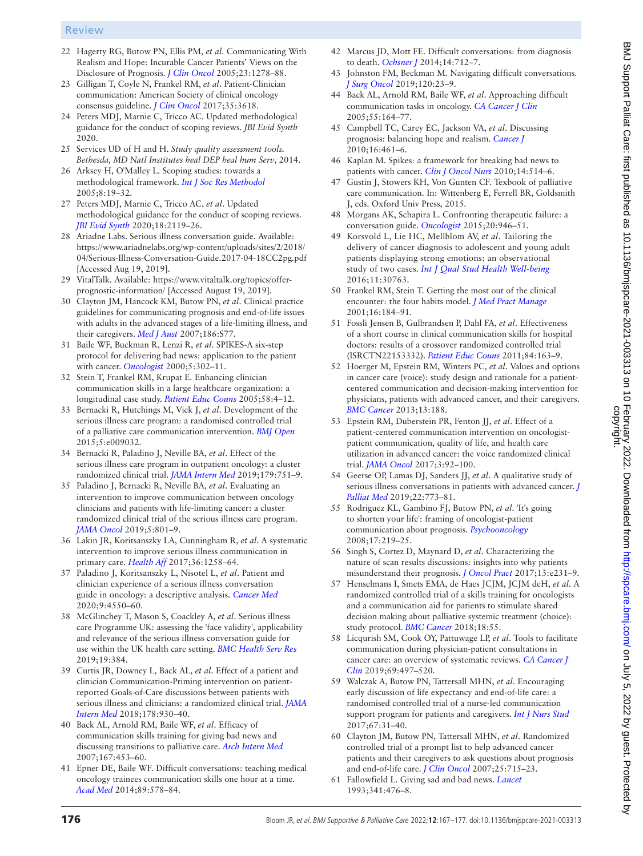#### Review

- 22 Hagerty RG, Butow PN, Ellis PM, *et al*. Communicating With Realism and Hope: Incurable Cancer Patients' Views on the Disclosure of Prognosis. *[J Clin Oncol](http://dx.doi.org/10.1200/JCO.2005.11.138)* 2005;23:1278–88.
- <span id="page-9-0"></span>23 Gilligan T, Coyle N, Frankel RM, *et al*. Patient-Clinician communication: American Society of clinical oncology consensus guideline. *[J Clin Oncol](http://dx.doi.org/10.1200/JCO.2017.75.2311)* 2017;35:3618.
- <span id="page-9-1"></span>24 Peters MDJ, Marnie C, Tricco AC. Updated methodological guidance for the conduct of scoping reviews. *JBI Evid Synth* 2020.
- <span id="page-9-2"></span>25 Services UD of H and H. *Study quality assessment tools. Bethesda, MD Natl Institutes heal DEP heal hum Serv*, 2014.
- <span id="page-9-3"></span>26 Arksey H, O'Malley L. Scoping studies: towards a methodological framework. *[Int J Soc Res Methodol](http://dx.doi.org/10.1080/1364557032000119616)* 2005;8:19–32.
- 27 Peters MDJ, Marnie C, Tricco AC, *et al*. Updated methodological guidance for the conduct of scoping reviews. *[JBI Evid Synth](http://dx.doi.org/10.11124/JBIES-20-00167)* 2020;18:2119–26.
- <span id="page-9-4"></span>28 Ariadne Labs. Serious illness conversation guide. Available: [https://www.ariadnelabs.org/wp-content/uploads/sites/2/2018/](https://www.ariadnelabs.org/wp-content/uploads/sites/2/2018/04/Serious-Illness-Conversation-Guide.2017-04-18CC2pg.pdf) [04/Serious-Illness-Conversation-Guide.2017-04-18CC2pg.pdf](https://www.ariadnelabs.org/wp-content/uploads/sites/2/2018/04/Serious-Illness-Conversation-Guide.2017-04-18CC2pg.pdf) [Accessed Aug 19, 2019].
- <span id="page-9-5"></span>29 VitalTalk. Available: [https://www.vitaltalk.org/topics/offer](https://www.vitaltalk.org/topics/offer-prognostic-information/)[prognostic-information/](https://www.vitaltalk.org/topics/offer-prognostic-information/) [Accessed August 19, 2019].
- <span id="page-9-6"></span>30 Clayton JM, Hancock KM, Butow PN, *et al*. Clinical practice guidelines for communicating prognosis and end-of-life issues with adults in the advanced stages of a life-limiting illness, and their caregivers. *[Med J Aust](http://dx.doi.org/10.5694/j.1326-5377.2007.tb01100.x)* 2007;186:S77.
- <span id="page-9-7"></span>31 Baile WF, Buckman R, Lenzi R, *et al*. SPIKES-A six-step protocol for delivering bad news: application to the patient with cancer. *[Oncologist](http://dx.doi.org/10.1634/theoncologist.5-4-302)* 2000;5:302–11.
- <span id="page-9-8"></span>32 Stein T, Frankel RM, Krupat E. Enhancing clinician communication skills in a large healthcare organization: a longitudinal case study. *[Patient Educ Couns](http://dx.doi.org/10.1016/j.pec.2005.01.014)* 2005;58:4–12.
- <span id="page-9-13"></span>33 Bernacki R, Hutchings M, Vick J, *et al*. Development of the serious illness care program: a randomised controlled trial of a palliative care communication intervention. *[BMJ Open](http://dx.doi.org/10.1136/bmjopen-2015-009032)* 2015;5:e009032.
- <span id="page-9-9"></span>34 Bernacki R, Paladino J, Neville BA, *et al*. Effect of the serious illness care program in outpatient oncology: a cluster randomized clinical trial. *[JAMA Intern Med](http://dx.doi.org/10.1001/jamainternmed.2019.0077)* 2019;179:751–9.
- 35 Paladino J, Bernacki R, Neville BA, *et al*. Evaluating an intervention to improve communication between oncology clinicians and patients with life-limiting cancer: a cluster randomized clinical trial of the serious illness care program. *[JAMA Oncol](http://dx.doi.org/10.1001/jamaoncol.2019.0292)* 2019;5:801–9.
- 36 Lakin JR, Koritsanszky LA, Cunningham R, *et al*. A systematic intervention to improve serious illness communication in primary care. *[Health Aff](http://dx.doi.org/10.1377/hlthaff.2017.0219)* 2017;36:1258–64.
- 37 Paladino J, Koritsanszky L, Nisotel L, *et al*. Patient and clinician experience of a serious illness conversation guide in oncology: a descriptive analysis. *[Cancer Med](http://dx.doi.org/10.1002/cam4.3102)* 2020;9:4550–60.
- 38 McGlinchey T, Mason S, Coackley A, *et al*. Serious illness care Programme UK: assessing the 'face validity', applicability and relevance of the serious illness conversation guide for use within the UK health care setting. *[BMC Health Serv Res](http://dx.doi.org/10.1186/s12913-019-4209-8)* 2019;19:384.
- <span id="page-9-10"></span>39 Curtis JR, Downey L, Back AL, *et al*. Effect of a patient and clinician Communication-Priming intervention on patientreported Goals-of-Care discussions between patients with serious illness and clinicians: a randomized clinical trial. *[JAMA](http://dx.doi.org/10.1001/jamainternmed.2018.2317)  [Intern Med](http://dx.doi.org/10.1001/jamainternmed.2018.2317)* 2018;178:930–40.
- <span id="page-9-11"></span>40 Back AL, Arnold RM, Baile WF, *et al*. Efficacy of communication skills training for giving bad news and discussing transitions to palliative care. *[Arch Intern Med](http://dx.doi.org/10.1001/archinte.167.5.453)* 2007;167:453–60.
- 41 Epner DE, Baile WF. Difficult conversations: teaching medical oncology trainees communication skills one hour at a time. *[Acad Med](http://dx.doi.org/10.1097/ACM.0000000000000177)* 2014;89:578–84.
- 42 Marcus JD, Mott FE. Difficult conversations: from diagnosis to death. *[Ochsner J](http://www.ncbi.nlm.nih.gov/pubmed/25598738)* 2014;14:712–7.
- 43 Johnston FM, Beckman M. Navigating difficult conversations. *[J Surg Oncol](http://dx.doi.org/10.1002/jso.25472)* 2019;120:23–9.
- 44 Back AL, Arnold RM, Baile WF, *et al*. Approaching difficult communication tasks in oncology. *[CA Cancer J Clin](http://dx.doi.org/10.3322/canjclin.55.3.164)* 2005;55:164–77.
- 45 Campbell TC, Carey EC, Jackson VA, *et al*. Discussing prognosis: balancing hope and realism. *[Cancer J](http://dx.doi.org/10.1097/PPO.0b013e3181f30e07)* 2010;16:461–6.
- 46 Kaplan M. Spikes: a framework for breaking bad news to patients with cancer. *[Clin J Oncol Nurs](http://dx.doi.org/10.1188/10.CJON.514-516)* 2010;14:514–6.
- 47 Gustin J, Stowers KH, Von Gunten CF. Texbook of palliative care communication. In: Wittenberg E, Ferrell BR, Goldsmith J, eds. Oxford Univ Press, 2015.
- 48 Morgans AK, Schapira L. Confronting therapeutic failure: a conversation guide. *[Oncologist](http://dx.doi.org/10.1634/theoncologist.2015-0050)* 2015;20:946–51.
- 49 Korsvold L, Lie HC, Mellblom AV, *et al*. Tailoring the delivery of cancer diagnosis to adolescent and young adult patients displaying strong emotions: an observational study of two cases. *[Int J Qual Stud Health Well-being](http://dx.doi.org/10.3402/qhw.v11.30763)* 2016;11:30763.
- 50 Frankel RM, Stein T. Getting the most out of the clinical encounter: the four habits model. *[J Med Pract Manage](http://www.ncbi.nlm.nih.gov/pubmed/11317576)* 2001;16:184–91.
- <span id="page-9-12"></span>51 Fossli Jensen B, Gulbrandsen P, Dahl FA, *et al*. Effectiveness of a short course in clinical communication skills for hospital doctors: results of a crossover randomized controlled trial (ISRCTN22153332). *[Patient Educ Couns](http://dx.doi.org/10.1016/j.pec.2010.08.028)* 2011;84:163–9.
- <span id="page-9-14"></span>52 Hoerger M, Epstein RM, Winters PC, *et al*. Values and options in cancer care (voice): study design and rationale for a patientcentered communication and decision-making intervention for physicians, patients with advanced cancer, and their caregivers. *[BMC Cancer](http://dx.doi.org/10.1186/1471-2407-13-188)* 2013;13:188.
- <span id="page-9-15"></span>53 Epstein RM, Duberstein PR, Fenton JJ, *et al*. Effect of a patient-centered communication intervention on oncologistpatient communication, quality of life, and health care utilization in advanced cancer: the voice randomized clinical trial. *[JAMA Oncol](http://dx.doi.org/10.1001/jamaoncol.2016.4373)* 2017;3:92–100.
- <span id="page-9-16"></span>54 Geerse OP, Lamas DJ, Sanders JJ, *et al*. A qualitative study of serious illness conversations in patients with advanced cancer. *[J](http://dx.doi.org/10.1089/jpm.2018.0487)  [Palliat Med](http://dx.doi.org/10.1089/jpm.2018.0487)* 2019;22:773–81.
- <span id="page-9-17"></span>55 Rodriguez KL, Gambino FJ, Butow PN, *et al*. 'It's going to shorten your life': framing of oncologist-patient communication about prognosis. *[Psychooncology](http://dx.doi.org/10.1002/pon.1223)* 2008;17:219–25.
- 56 Singh S, Cortez D, Maynard D, *et al*. Characterizing the nature of scan results discussions: insights into why patients misunderstand their prognosis. *[J Oncol Pract](http://dx.doi.org/10.1200/JOP.2016.014621)* 2017;13:e231–9.
- 57 Henselmans I, Smets EMA, de Haes JCJM, JCJM deH, *et al*. A randomized controlled trial of a skills training for oncologists and a communication aid for patients to stimulate shared decision making about palliative systemic treatment (choice): study protocol. *[BMC Cancer](http://dx.doi.org/10.1186/s12885-017-3838-8)* 2018;18:55.
- <span id="page-9-18"></span>58 Licqurish SM, Cook OY, Pattuwage LP, *et al*. Tools to facilitate communication during physician-patient consultations in cancer care: an overview of systematic reviews. *[CA Cancer J](http://dx.doi.org/10.3322/caac.21573)  [Clin](http://dx.doi.org/10.3322/caac.21573)* 2019;69:497–520.
- 59 Walczak A, Butow PN, Tattersall MHN, *et al*. Encouraging early discussion of life expectancy and end-of-life care: a randomised controlled trial of a nurse-led communication support program for patients and caregivers. *[Int J Nurs Stud](http://dx.doi.org/10.1016/j.ijnurstu.2016.10.008)* 2017;67:31–40.
- <span id="page-9-19"></span>60 Clayton JM, Butow PN, Tattersall MHN, *et al*. Randomized controlled trial of a prompt list to help advanced cancer patients and their caregivers to ask questions about prognosis and end-of-life care. *[J Clin Oncol](http://dx.doi.org/10.1200/JCO.2006.06.7827)* 2007;25:715–23.
- <span id="page-9-20"></span>61 Fallowfield L. Giving sad and bad news. *[Lancet](http://dx.doi.org/10.1016/0140-6736(93)90219-7)* 1993;341:476–8.